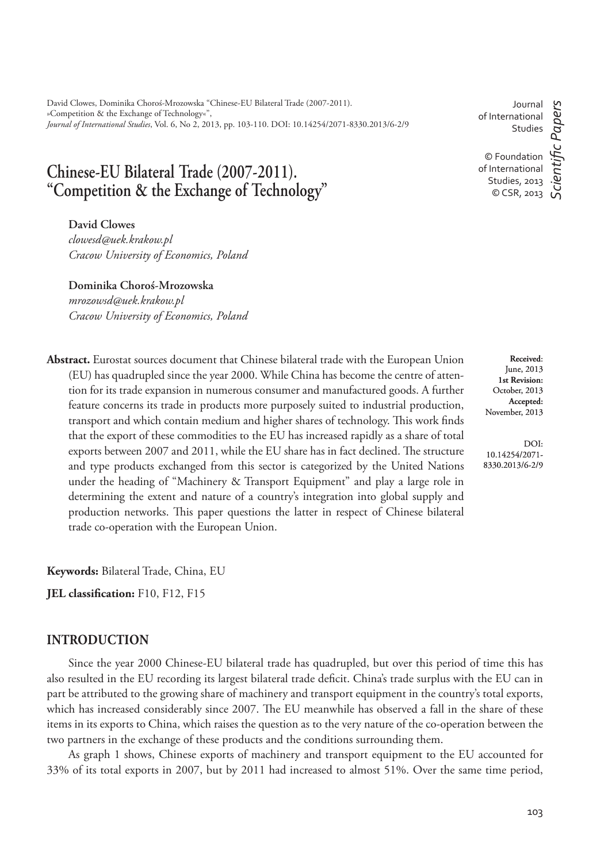David Clowes, Dominika Choroś-Mrozowska "Chinese-EU Bilateral Trade (2007-2011). »Competition & the Exchange of Technology«", *Journal of International Studies*, Vol. 6, No 2, 2013, pp. 103-110. DOI: 10.14254/2071-8330.2013/6-2/9

# **Chinese-EU Bilateral Trade (2007-2011). "Competition & the Exchange of Technology"**

**David Clowes** *clowesd@uek.krakow.pl Cracow University of Economics, Poland*

**Dominika Choroś-Mrozowska**

*mrozowsd@uek.krakow.pl Cracow University of Economics, Poland*

**Abstract.** Eurostat sources document that Chinese bilateral trade with the European Union (EU) has quadrupled since the year 2000. While China has become the centre of attention for its trade expansion in numerous consumer and manufactured goods. A further feature concerns its trade in products more purposely suited to industrial production, transport and which contain medium and higher shares of technology. This work finds that the export of these commodities to the EU has increased rapidly as a share of total exports between 2007 and 2011, while the EU share has in fact declined. The structure and type products exchanged from this sector is categorized by the United Nations under the heading of "Machinery & Transport Equipment" and play a large role in determining the extent and nature of a country's integration into global supply and production networks. This paper questions the latter in respect of Chinese bilateral trade co-operation with the European Union.

**Keywords:** Bilateral Trade, China, EU

**JEL classification:** F10, F12, F15

#### **INTRODUCTION**

Since the year 2000 Chinese-EU bilateral trade has quadrupled, but over this period of time this has also resulted in the EU recording its largest bilateral trade deficit. China's trade surplus with the EU can in part be attributed to the growing share of machinery and transport equipment in the country's total exports, which has increased considerably since 2007. The EU meanwhile has observed a fall in the share of these items in its exports to China, which raises the question as to the very nature of the co-operation between the two partners in the exchange of these products and the conditions surrounding them.

As graph 1 shows, Chinese exports of machinery and transport equipment to the EU accounted for 33% of its total exports in 2007, but by 2011 had increased to almost 51%. Over the same time period,

Journal of International Studies

© Foundation of International Studies, 2013 © CSR, 2013

*ScientiÞ c Papers*

c Papers

**Received**: June, 2013 **1st Revision:**  October, 2013 **Accepted:**  November, 2013

DOI: 10.14254/2071- 8330.2013/6-2/9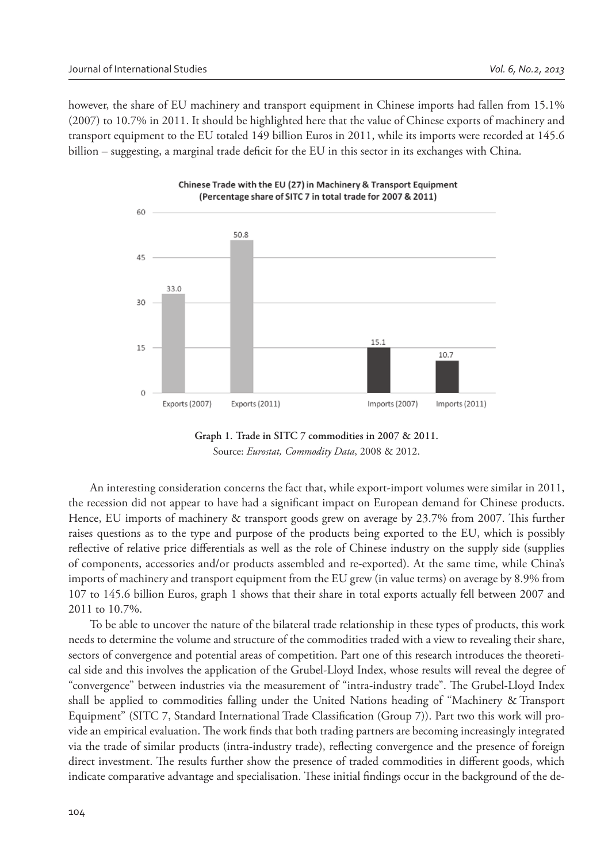however, the share of EU machinery and transport equipment in Chinese imports had fallen from 15.1% (2007) to 10.7% in 2011. It should be highlighted here that the value of Chinese exports of machinery and transport equipment to the EU totaled 149 billion Euros in 2011, while its imports were recorded at 145.6 billion – suggesting, a marginal trade deficit for the EU in this sector in its exchanges with China.



**Graph 1. Trade in SITC 7 commodities in 2007 & 2011.** Source: *Eurostat, Commodity Data*, 2008 & 2012.

An interesting consideration concerns the fact that, while export-import volumes were similar in 2011, the recession did not appear to have had a significant impact on European demand for Chinese products. Hence, EU imports of machinery & transport goods grew on average by 23.7% from 2007. This further raises questions as to the type and purpose of the products being exported to the EU, which is possibly reflective of relative price differentials as well as the role of Chinese industry on the supply side (supplies of components, accessories and/or products assembled and re-exported). At the same time, while China's imports of machinery and transport equipment from the EU grew (in value terms) on average by 8.9% from 107 to 145.6 billion Euros, graph 1 shows that their share in total exports actually fell between 2007 and 2011 to 10.7%.

To be able to uncover the nature of the bilateral trade relationship in these types of products, this work needs to determine the volume and structure of the commodities traded with a view to revealing their share, sectors of convergence and potential areas of competition. Part one of this research introduces the theoretical side and this involves the application of the Grubel-Lloyd Index, whose results will reveal the degree of "convergence" between industries via the measurement of "intra-industry trade". The Grubel-Lloyd Index shall be applied to commodities falling under the United Nations heading of "Machinery & Transport Equipment" (SITC 7, Standard International Trade Classification (Group 7)). Part two this work will provide an empirical evaluation. The work finds that both trading partners are becoming increasingly integrated via the trade of similar products (intra-industry trade), reflecting convergence and the presence of foreign direct investment. The results further show the presence of traded commodities in different goods, which indicate comparative advantage and specialisation. These initial findings occur in the background of the de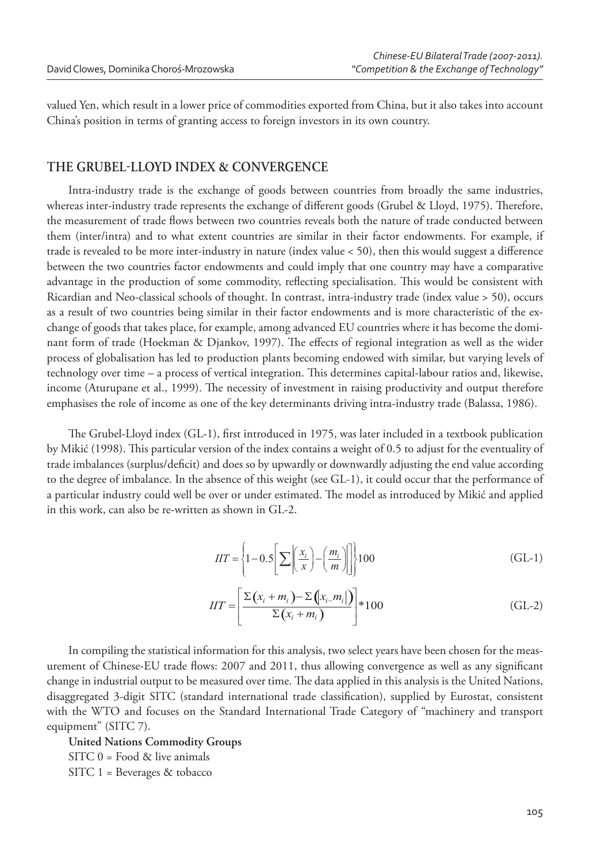valued Yen, which result in a lower price of commodities exported from China, but it also takes into account China's position in terms of granting access to foreign investors in its own country.

### THE GRUBEL-LLOYD INDEX & CONVERGENCE

Intra-industry trade is the exchange of goods between countries from broadly the same industries, whereas inter-industry trade represents the exchange of different goods (Grubel & Lloyd, 1975). Therefore, the measurement of trade flows between two countries reveals both the nature of trade conducted between them (inter/intra) and to what extent countries are similar in their factor endowments. For example, if trade is revealed to be more inter-industry in nature (index value  $<$  50), then this would suggest a difference between the two countries factor endowments and could imply that one country may have a comparative advantage in the production of some commodity, reflecting specialisation. This would be consistent with Ricardian and Neo-classical schools of thought. In contrast, intra-industry trade (index value > 50), occurs as a result of two countries being similar in their factor endowments and is more characteristic of the exchange of goods that takes place, for example, among advanced EU countries where it has become the dominant form of trade (Hoekman & Djankov, 1997). The effects of regional integration as well as the wider process of globalisation has led to production plants becoming endowed with similar, but varying levels of technology over time – a process of vertical integration. This determines capital-labour ratios and, likewise, income (Aturupane et al., 1999). The necessity of investment in raising productivity and output therefore emphasises the role of income as one of the key determinants driving intra-industry trade (Balassa, 1986).

The Grubel-Lloyd index (GL-1), first introduced in 1975, was later included in a textbook publication by Mikić (1998). This particular version of the index contains a weight of 0.5 to adjust for the eventuality of trade imbalances (surplus/deficit) and does so by upwardly or downwardly adjusting the end value according to the degree of imbalance. In the absence of this weight (see GL-1), it could occur that the performance of a particular industry could well be over or under estimated. The model as introduced by Mikić and applied in this work, can also be re-written as shown in GL-2.

$$
IIT = \left\{1 - 0.5\left[\sum \left(\frac{x_i}{x}\right) - \left(\frac{m_i}{m}\right)\right]\right\}100\tag{GL-1}
$$

$$
IIT = \left[\frac{\Sigma(x_i + m_i) - \Sigma(x_i - m_i)}{\Sigma(x_i + m_i)}\right] * 100
$$
 (GL-2)

In compiling the statistical information for this analysis, two select years have been chosen for the measurement of Chinese-EU trade flows: 2007 and 2011, thus allowing convergence as well as any significant change in industrial output to be measured over time. The data applied in this analysis is the United Nations, disaggregated 3-digit SITC (standard international trade classification), supplied by Eurostat, consistent with the WTO and focuses on the Standard International Trade Category of "machinery and transport equipment" (SITC 7).

**United Nations Commodity Groups**  $SITC$  0 = Food & live animals SITC 1 = Beverages & tobacco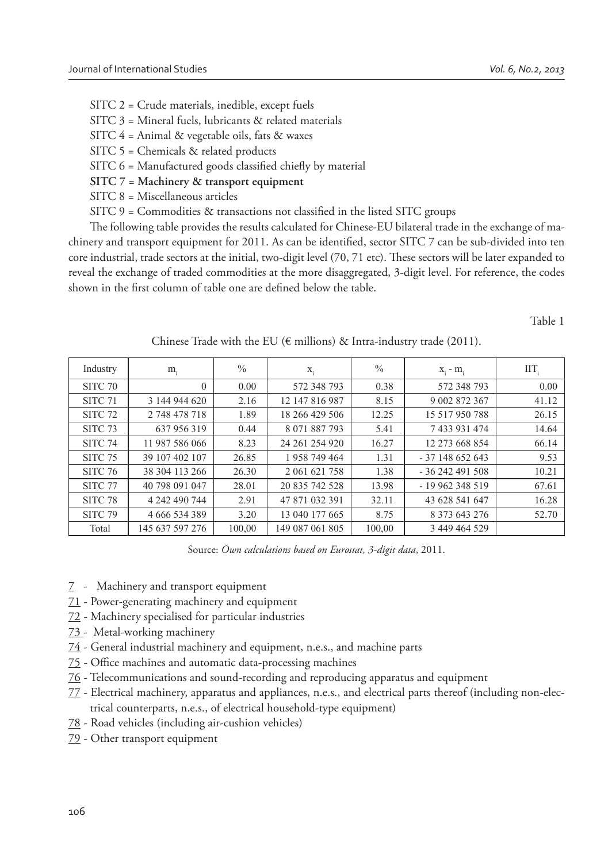SITC 2 = Crude materials, inedible, except fuels

- SITC 3 = Mineral fuels, lubricants & related materials
- SITC 4 = Animal & vegetable oils, fats & waxes
- SITC 5 = Chemicals & related products
- $SITC$  6 = Manufactured goods classified chiefly by material
- **SITC 7 = Machinery & transport equipment**
- SITC 8 = Miscellaneous articles
- $STTC$  9 = Commodities & transactions not classified in the listed SITC groups

The following table provides the results calculated for Chinese-EU bilateral trade in the exchange of machinery and transport equipment for 2011. As can be identified, sector SITC 7 can be sub-divided into ten core industrial, trade sectors at the initial, two-digit level (70, 71 etc). These sectors will be later expanded to reveal the exchange of traded commodities at the more disaggregated, 3-digit level. For reference, the codes shown in the first column of table one are defined below the table.

Table 1

| Industry           | $m_i$           | $\%$   | $X_i$           | $\%$   | $X_i - m_i$    | $\text{IIT}_{i}$ |
|--------------------|-----------------|--------|-----------------|--------|----------------|------------------|
| SITC <sub>70</sub> | $\theta$        | 0.00   | 572 348 793     | 0.38   | 572 348 793    | 0.00             |
| SITC <sub>71</sub> | 3 144 944 620   | 2.16   | 12 147 816 987  | 8.15   | 9 002 872 367  | 41.12            |
| SITC <sub>72</sub> | 2 748 478 718   | 1.89   | 18 266 429 506  | 12.25  | 15 517 950 788 | 26.15            |
| SITC <sub>73</sub> | 637 956 319     | 0.44   | 8 071 887 793   | 5.41   | 7 433 931 474  | 14.64            |
| SITC <sub>74</sub> | 11 987 586 066  | 8.23   | 24 261 254 920  | 16.27  | 12 273 668 854 | 66.14            |
| SITC <sub>75</sub> | 39 107 402 107  | 26.85  | 1 958 749 464   | 1.31   | $-37148652643$ | 9.53             |
| <b>SITC 76</b>     | 38 304 113 266  | 26.30  | 2 061 621 758   | 1.38   | $-36242491508$ | 10.21            |
| SITC <sub>77</sub> | 40 798 091 047  | 28.01  | 20 835 742 528  | 13.98  | $-19962348519$ | 67.61            |
| SITC <sub>78</sub> | 4 242 490 744   | 2.91   | 47 871 032 391  | 32.11  | 43 628 541 647 | 16.28            |
| <b>SITC 79</b>     | 4 666 534 389   | 3.20   | 13 040 177 665  | 8.75   | 8 373 643 276  | 52.70            |
| Total              | 145 637 597 276 | 100,00 | 149 087 061 805 | 100,00 | 3 449 464 529  |                  |

Chinese Trade with the EU ( $\epsilon$  millions) & Intra-industry trade (2011).

Source: *Own calculations based on Eurostat, 3-digit data*, 2011.

- 7 Machinery and transport equipment
- 71 Power-generating machinery and equipment
- 72 Machinery specialised for particular industries
- 73 Metal-working machinery
- 74 General industrial machinery and equipment, n.e.s., and machine parts
- $75$  Office machines and automatic data-processing machines
- 76 Telecommunications and sound-recording and reproducing apparatus and equipment
- 77 Electrical machinery, apparatus and appliances, n.e.s., and electrical parts thereof (including non-electrical counterparts, n.e.s., of electrical household-type equipment)
- 78 Road vehicles (including air-cushion vehicles)
- 79 Other transport equipment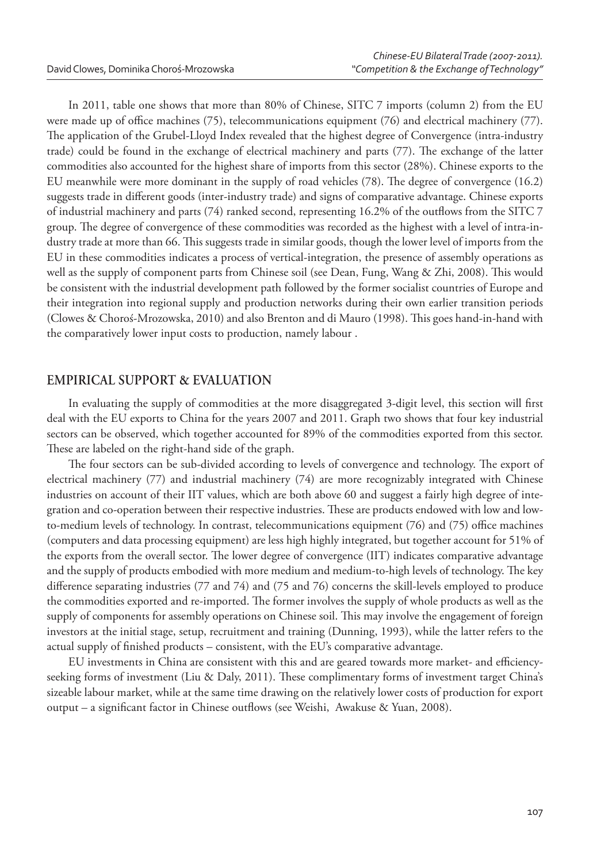In 2011, table one shows that more than 80% of Chinese, SITC 7 imports (column 2) from the EU were made up of office machines (75), telecommunications equipment (76) and electrical machinery (77). The application of the Grubel-Lloyd Index revealed that the highest degree of Convergence (intra-industry trade) could be found in the exchange of electrical machinery and parts (77). The exchange of the latter commodities also accounted for the highest share of imports from this sector (28%). Chinese exports to the EU meanwhile were more dominant in the supply of road vehicles (78). The degree of convergence (16.2) suggests trade in different goods (inter-industry trade) and signs of comparative advantage. Chinese exports of industrial machinery and parts (74) ranked second, representing 16.2% of the outflows from the SITC 7 group. The degree of convergence of these commodities was recorded as the highest with a level of intra-industry trade at more than 66. This suggests trade in similar goods, though the lower level of imports from the EU in these commodities indicates a process of vertical-integration, the presence of assembly operations as well as the supply of component parts from Chinese soil (see Dean, Fung, Wang & Zhi, 2008). This would be consistent with the industrial development path followed by the former socialist countries of Europe and their integration into regional supply and production networks during their own earlier transition periods (Clowes & Choroś-Mrozowska, 2010) and also Brenton and di Mauro (1998). This goes hand-in-hand with the comparatively lower input costs to production, namely labour .

#### **EMPIRICAL SUPPORT & EVALUATION**

In evaluating the supply of commodities at the more disaggregated 3-digit level, this section will first deal with the EU exports to China for the years 2007 and 2011. Graph two shows that four key industrial sectors can be observed, which together accounted for 89% of the commodities exported from this sector. These are labeled on the right-hand side of the graph.

The four sectors can be sub-divided according to levels of convergence and technology. The export of electrical machinery (77) and industrial machinery (74) are more recognizably integrated with Chinese industries on account of their IIT values, which are both above 60 and suggest a fairly high degree of integration and co-operation between their respective industries. These are products endowed with low and lowto-medium levels of technology. In contrast, telecommunications equipment  $(76)$  and  $(75)$  office machines (computers and data processing equipment) are less high highly integrated, but together account for 51% of the exports from the overall sector. The lower degree of convergence (IIT) indicates comparative advantage and the supply of products embodied with more medium and medium-to-high levels of technology. The key difference separating industries (77 and 74) and (75 and 76) concerns the skill-levels employed to produce the commodities exported and re-imported. The former involves the supply of whole products as well as the supply of components for assembly operations on Chinese soil. This may involve the engagement of foreign investors at the initial stage, setup, recruitment and training (Dunning, 1993), while the latter refers to the actual supply of finished products – consistent, with the EU's comparative advantage.

EU investments in China are consistent with this and are geared towards more market- and efficiencyseeking forms of investment (Liu & Daly, 2011). These complimentary forms of investment target China's sizeable labour market, while at the same time drawing on the relatively lower costs of production for export output – a significant factor in Chinese outflows (see Weishi, Awakuse & Yuan, 2008).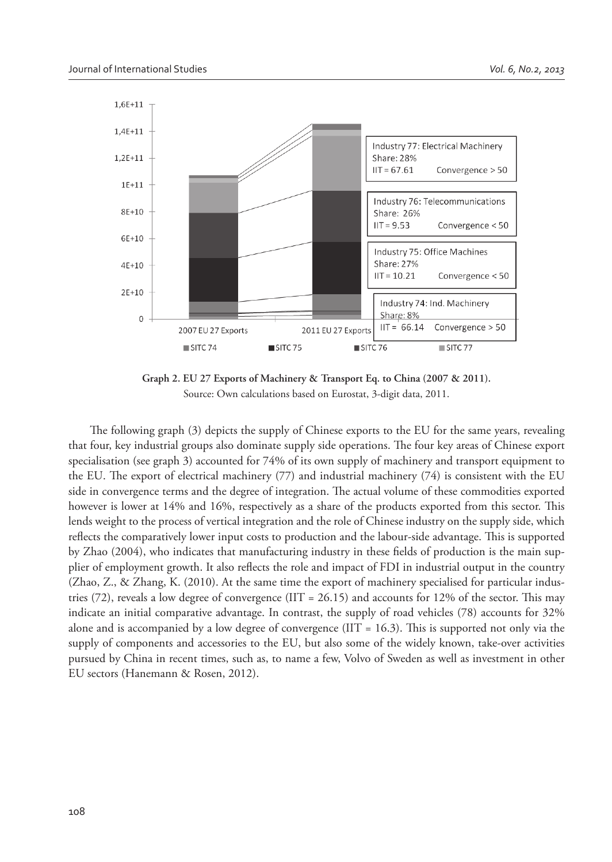

**Graph 2. EU 27 Exports of Machinery & Transport Eq. to China (2007 & 2011).** Source: Own calculations based on Eurostat, 3-digit data, 2011.

The following graph (3) depicts the supply of Chinese exports to the EU for the same years, revealing that four, key industrial groups also dominate supply side operations. The four key areas of Chinese export specialisation (see graph 3) accounted for 74% of its own supply of machinery and transport equipment to the EU. The export of electrical machinery  $(77)$  and industrial machinery  $(74)$  is consistent with the EU side in convergence terms and the degree of integration. The actual volume of these commodities exported however is lower at 14% and 16%, respectively as a share of the products exported from this sector. This lends weight to the process of vertical integration and the role of Chinese industry on the supply side, which reflects the comparatively lower input costs to production and the labour-side advantage. This is supported by Zhao (2004), who indicates that manufacturing industry in these fields of production is the main supplier of employment growth. It also reflects the role and impact of FDI in industrial output in the country (Zhao, Z., & Zhang, K. (2010). At the same time the export of machinery specialised for particular industries (72), reveals a low degree of convergence (IIT = 26.15) and accounts for 12% of the sector. This may indicate an initial comparative advantage. In contrast, the supply of road vehicles (78) accounts for 32% alone and is accompanied by a low degree of convergence (IIT = 16.3). This is supported not only via the supply of components and accessories to the EU, but also some of the widely known, take-over activities pursued by China in recent times, such as, to name a few, Volvo of Sweden as well as investment in other EU sectors (Hanemann & Rosen, 2012).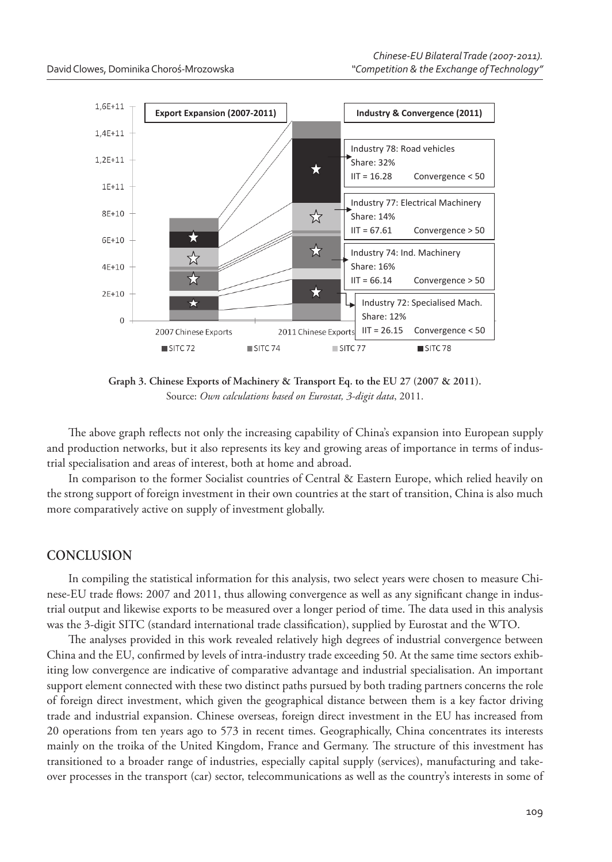

**Graph 3. Chinese Exports of Machinery & Transport Eq. to the EU 27 (2007 & 2011).** Source: *Own calculations based on Eurostat, 3-digit data*, 2011.

The above graph reflects not only the increasing capability of China's expansion into European supply and production networks, but it also represents its key and growing areas of importance in terms of industrial specialisation and areas of interest, both at home and abroad.

In comparison to the former Socialist countries of Central & Eastern Europe, which relied heavily on the strong support of foreign investment in their own countries at the start of transition, China is also much more comparatively active on supply of investment globally.

## **CONCLUSION**

In compiling the statistical information for this analysis, two select years were chosen to measure Chinese-EU trade flows: 2007 and 2011, thus allowing convergence as well as any significant change in industrial output and likewise exports to be measured over a longer period of time. The data used in this analysis was the 3-digit SITC (standard international trade classification), supplied by Eurostat and the WTO.

The analyses provided in this work revealed relatively high degrees of industrial convergence between China and the EU, confirmed by levels of intra-industry trade exceeding 50. At the same time sectors exhibiting low convergence are indicative of comparative advantage and industrial specialisation. An important support element connected with these two distinct paths pursued by both trading partners concerns the role of foreign direct investment, which given the geographical distance between them is a key factor driving trade and industrial expansion. Chinese overseas, foreign direct investment in the EU has increased from 20 operations from ten years ago to 573 in recent times. Geographically, China concentrates its interests mainly on the troika of the United Kingdom, France and Germany. The structure of this investment has transitioned to a broader range of industries, especially capital supply (services), manufacturing and takeover processes in the transport (car) sector, telecommunications as well as the country's interests in some of